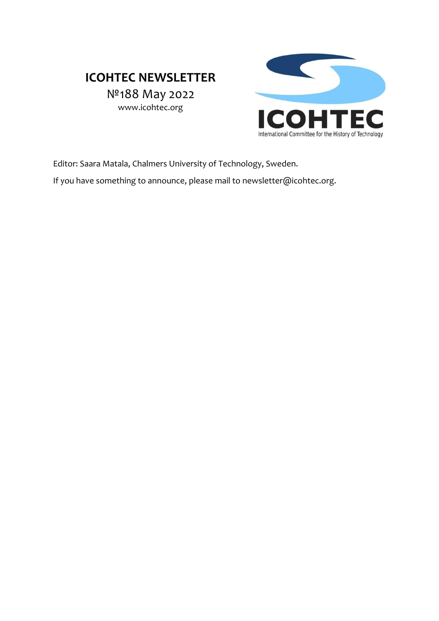# **ICOHTEC NEWSLETTER**

№188 May 2022 www.icohtec.org



Editor: Saara Matala, Chalmers University of Technology, Sweden.

If you have something to announce, please mail to newsletter@icohtec.org.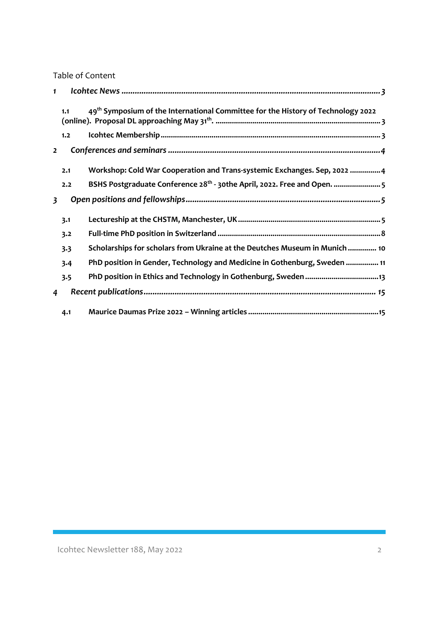Table of Content

| $\mathbf{1}$            |     |                                                                                              |  |
|-------------------------|-----|----------------------------------------------------------------------------------------------|--|
|                         | 1.1 | 49 <sup>th</sup> Symposium of the International Committee for the History of Technology 2022 |  |
|                         | 1.2 |                                                                                              |  |
| $\overline{2}$          |     |                                                                                              |  |
|                         | 2.1 | Workshop: Cold War Cooperation and Trans-systemic Exchanges. Sep, 2022 4                     |  |
|                         | 2.2 | BSHS Postgraduate Conference 28 <sup>th</sup> - 30the April, 2022. Free and Open.  5         |  |
| $\overline{\mathbf{3}}$ |     |                                                                                              |  |
|                         | 3.1 |                                                                                              |  |
|                         | 3.2 |                                                                                              |  |
|                         | 3.3 | Scholarships for scholars from Ukraine at the Deutches Museum in Munich  10                  |  |
|                         | 3.4 | PhD position in Gender, Technology and Medicine in Gothenburg, Sweden  11                    |  |
|                         | 3.5 |                                                                                              |  |
| 4                       |     |                                                                                              |  |
|                         | 4.1 |                                                                                              |  |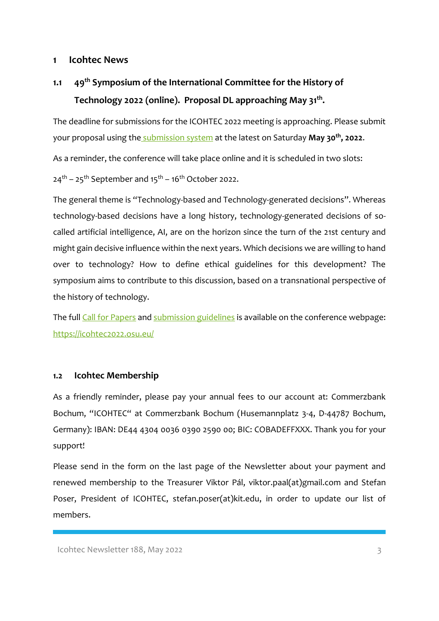#### <span id="page-2-0"></span>**1 Icohtec News**

<span id="page-2-1"></span>**1.1 49th Symposium of the International Committee for the History of Technology 2022 (online). Proposal DL approaching May 31 th .** 

The deadline for submissions for the ICOHTEC 2022 meeting is approaching. Please submit your proposal using the [submission system](http://www.icohtec.org/annual-meeting/cfp-system/2022-digital/) at the latest on Saturday **May 30th, 2022**.

As a reminder, the conference will take place online and it is scheduled in two slots:

 $24<sup>th</sup> - 25<sup>th</sup>$  September and  $15<sup>th</sup> - 16<sup>th</sup>$  October 2022.

The general theme is "Technology-based and Technology-generated decisions". Whereas technology-based decisions have a long history, technology-generated decisions of socalled artificial intelligence, AI, are on the horizon since the turn of the 21st century and might gain decisive influence within the next years. Which decisions we are willing to hand over to technology? How to define ethical guidelines for this development? The symposium aims to contribute to this discussion, based on a transnational perspective of the history of technology.

The full [Call for Papers](https://icohtec2022.osu.eu/call-for-papers/) and [submission guidelines](https://icohtec2022.osu.eu/proposal-guidelines/) is available on the conference webpage: <https://icohtec2022.osu.eu/>

#### <span id="page-2-2"></span>**1.2 Icohtec Membership**

As a friendly reminder, please pay your annual fees to our account at: Commerzbank Bochum, "ICOHTEC" at Commerzbank Bochum (Husemannplatz 3-4, D-44787 Bochum, Germany): IBAN: DE44 4304 0036 0390 2590 00; BIC: COBADEFFXXX. Thank you for your support!

Please send in the form on the last page of the Newsletter about your payment and renewed membership to the Treasurer Viktor Pál, viktor.paal(at)gmail.com and Stefan Poser, President of ICOHTEC, stefan.poser(at)kit.edu, in order to update our list of members.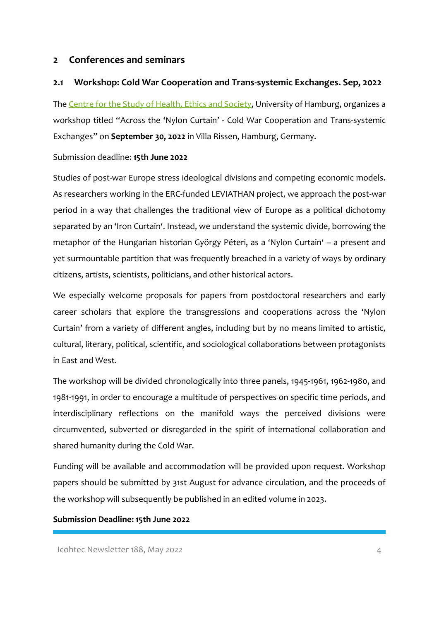### <span id="page-3-0"></span>**2 Conferences and seminars**

### <span id="page-3-1"></span>**2.1 Workshop: Cold War Cooperation and Trans-systemic Exchanges. Sep, 2022**

The [Centre for the Study of Health, Ethics and Society,](https://ches-hamburg.org/) University of Hamburg, organizes a workshop titled "Across the 'Nylon Curtain' - Cold War Cooperation and Trans-systemic Exchanges" on **September 30, 2022** in Villa Rissen, Hamburg, Germany.

#### Submission deadline: **15th June 2022**

Studies of post-war Europe stress ideological divisions and competing economic models. As researchers working in the ERC-funded LEVIATHAN project, we approach the post-war period in a way that challenges the traditional view of Europe as a political dichotomy separated by an 'Iron Curtain'. Instead, we understand the systemic divide, borrowing the metaphor of the Hungarian historian György Péteri, as a 'Nylon Curtain' – a present and yet surmountable partition that was frequently breached in a variety of ways by ordinary citizens, artists, scientists, politicians, and other historical actors.

We especially welcome proposals for papers from postdoctoral researchers and early career scholars that explore the transgressions and cooperations across the 'Nylon Curtain' from a variety of different angles, including but by no means limited to artistic, cultural, literary, political, scientific, and sociological collaborations between protagonists in East and West.

The workshop will be divided chronologically into three panels, 1945-1961, 1962-1980, and 1981-1991, in order to encourage a multitude of perspectives on specific time periods, and interdisciplinary reflections on the manifold ways the perceived divisions were circumvented, subverted or disregarded in the spirit of international collaboration and shared humanity during the Cold War.

Funding will be available and accommodation will be provided upon request. Workshop papers should be submitted by 31st August for advance circulation, and the proceeds of the workshop will subsequently be published in an edited volume in 2023.

#### **Submission Deadline: 15th June 2022**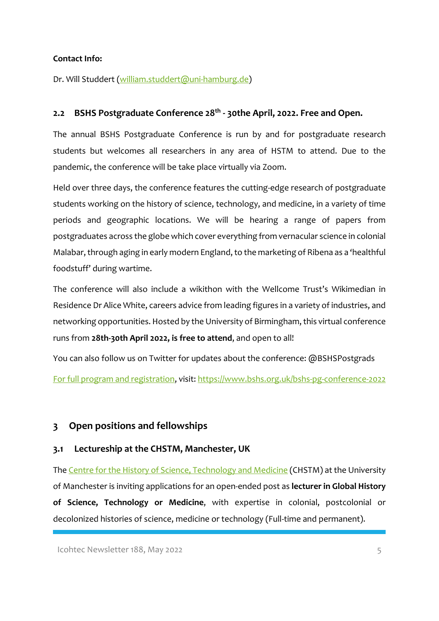#### **Contact Info:**

Dr. Will Studdert [\(william.studdert@uni-hamburg.de\)](mailto:william.studdert@uni-hamburg.de)

### <span id="page-4-0"></span>**2.2 BSHS Postgraduate Conference 28th - 30the April, 2022. Free and Open.**

The annual BSHS Postgraduate Conference is run by and for postgraduate research students but welcomes all researchers in any area of HSTM to attend. Due to the pandemic, the conference will be take place virtually via Zoom.

Held over three days, the conference features the cutting-edge research of postgraduate students working on the history of science, technology, and medicine, in a variety of time periods and geographic locations. We will be hearing a range of papers from postgraduates across the globe which cover everything from vernacular science in colonial Malabar, through aging in early modern England, to the marketing of Ribena as a 'healthful foodstuff' during wartime.

The conference will also include a wikithon with the Wellcome Trust's Wikimedian in Residence Dr Alice White, careers advice from leading figures in a variety of industries, and networking opportunities. Hosted by the University of Birmingham, this virtual conference runs from **28th-30th April 2022, is free to attend**, and open to all!

You can also follow us on Twitter for updates about the conference: @BSHSPostgrads [For full program and registration,](https://www.bshs.org.uk/bshs-pg-conference-2022) visit:<https://www.bshs.org.uk/bshs-pg-conference-2022>

### <span id="page-4-1"></span>**3 Open positions and fellowships**

#### <span id="page-4-2"></span>**3.1 Lectureship at the CHSTM, Manchester, UK**

The [Centre for the History of Science, Technology and Medicine](https://www.chstm.manchester.ac.uk/) (CHSTM) at the University of Manchester is inviting applications for an open-ended post as **lecturer in Global History of Science, Technology or Medicine**, with expertise in colonial, postcolonial or decolonized histories of science, medicine or technology (Full-time and permanent).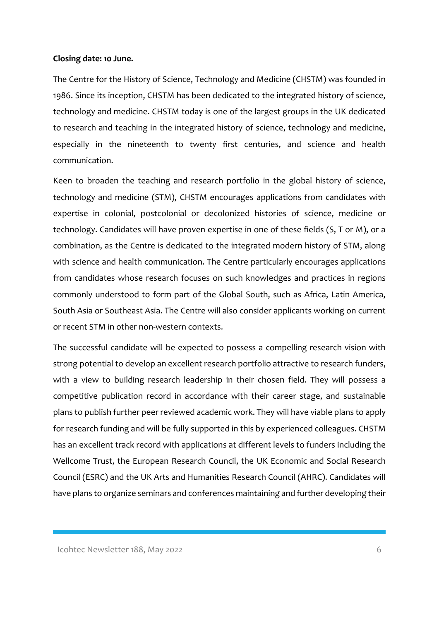#### **Closing date: 10 June.**

The Centre for the History of Science, Technology and Medicine (CHSTM) was founded in 1986. Since its inception, CHSTM has been dedicated to the integrated history of science, technology and medicine. CHSTM today is one of the largest groups in the UK dedicated to research and teaching in the integrated history of science, technology and medicine, especially in the nineteenth to twenty first centuries, and science and health communication.

Keen to broaden the teaching and research portfolio in the global history of science, technology and medicine (STM), CHSTM encourages applications from candidates with expertise in colonial, postcolonial or decolonized histories of science, medicine or technology. Candidates will have proven expertise in one of these fields (S, T or M), or a combination, as the Centre is dedicated to the integrated modern history of STM, along with science and health communication. The Centre particularly encourages applications from candidates whose research focuses on such knowledges and practices in regions commonly understood to form part of the Global South, such as Africa, Latin America, South Asia or Southeast Asia. The Centre will also consider applicants working on current or recent STM in other non-western contexts.

The successful candidate will be expected to possess a compelling research vision with strong potential to develop an excellent research portfolio attractive to research funders, with a view to building research leadership in their chosen field. They will possess a competitive publication record in accordance with their career stage, and sustainable plans to publish further peer reviewed academic work. They will have viable plans to apply for research funding and will be fully supported in this by experienced colleagues. CHSTM has an excellent track record with applications at different levels to funders including the Wellcome Trust, the European Research Council, the UK Economic and Social Research Council (ESRC) and the UK Arts and Humanities Research Council (AHRC). Candidates will have plans to organize seminars and conferences maintaining and further developing their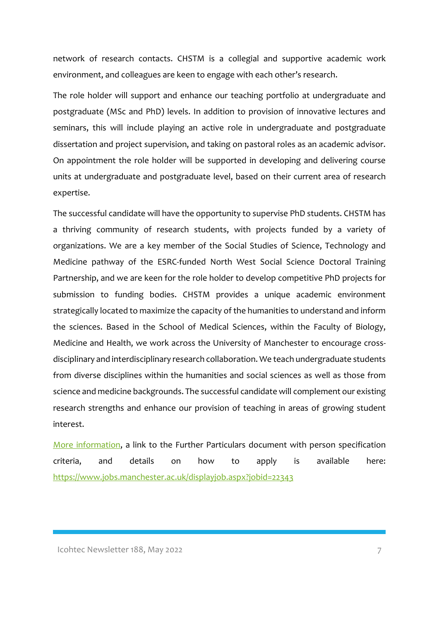network of research contacts. CHSTM is a collegial and supportive academic work environment, and colleagues are keen to engage with each other's research.

The role holder will support and enhance our teaching portfolio at undergraduate and postgraduate (MSc and PhD) levels. In addition to provision of innovative lectures and seminars, this will include playing an active role in undergraduate and postgraduate dissertation and project supervision, and taking on pastoral roles as an academic advisor. On appointment the role holder will be supported in developing and delivering course units at undergraduate and postgraduate level, based on their current area of research expertise.

The successful candidate will have the opportunity to supervise PhD students. CHSTM has a thriving community of research students, with projects funded by a variety of organizations. We are a key member of the Social Studies of Science, Technology and Medicine pathway of the ESRC-funded North West Social Science Doctoral Training Partnership, and we are keen for the role holder to develop competitive PhD projects for submission to funding bodies. CHSTM provides a unique academic environment strategically located to maximize the capacity of the humanities to understand and inform the sciences. Based in the School of Medical Sciences, within the Faculty of Biology, Medicine and Health, we work across the University of Manchester to encourage crossdisciplinary and interdisciplinary research collaboration. We teach undergraduate students from diverse disciplines within the humanities and social sciences as well as those from science and medicine backgrounds. The successful candidate will complement our existing research strengths and enhance our provision of teaching in areas of growing student interest.

[More information,](https://www.jobs.manchester.ac.uk/displayjob.aspx?jobid=22343) a link to the Further Particulars document with person specification criteria, and details on how to apply is available here: <https://www.jobs.manchester.ac.uk/displayjob.aspx?jobid=22343>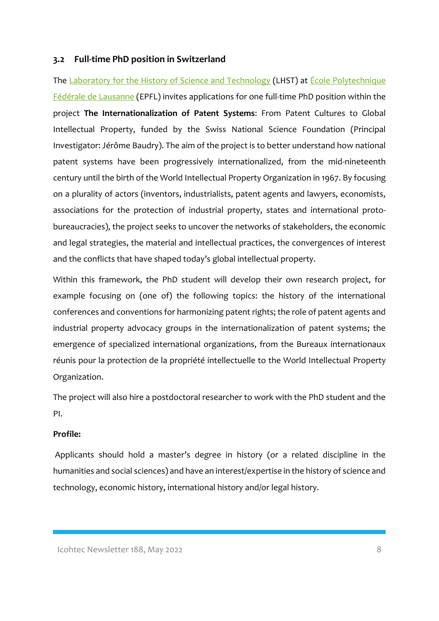### <span id="page-7-0"></span>**3.2 Full-time PhD position in Switzerland**

The [Laboratory for the History of Science and](https://www.epfl.ch/labs/lhst/) Technology (LHST) at *École Polytechnique* [Fédérale de Lausanne](https://www.epfl.ch/en/) (EPFL) invites applications for one full-time PhD position within the project **The Internationalization of Patent Systems**: From Patent Cultures to Global Intellectual Property, funded by the Swiss National Science Foundation (Principal Investigator: Jérôme Baudry). The aim of the project is to better understand how national patent systems have been progressively internationalized, from the mid-nineteenth century until the birth of the World Intellectual Property Organization in 1967. By focusing on a plurality of actors (inventors, industrialists, patent agents and lawyers, economists, associations for the protection of industrial property, states and international protobureaucracies), the project seeks to uncover the networks of stakeholders, the economic and legal strategies, the material and intellectual practices, the convergences of interest and the conflicts that have shaped today's global intellectual property.

Within this framework, the PhD student will develop their own research project, for example focusing on (one of) the following topics: the history of the international conferences and conventions for harmonizing patent rights; the role of patent agents and industrial property advocacy groups in the internationalization of patent systems; the emergence of specialized international organizations, from the Bureaux internationaux réunis pour la protection de la propriété intellectuelle to the World Intellectual Property Organization.

The project will also hire a postdoctoral researcher to work with the PhD student and the PI.

#### **Profile:**

Applicants should hold a master's degree in history (or a related discipline in the humanities and social sciences) and have an interest/expertise in the history of science and technology, economic history, international history and/or legal history.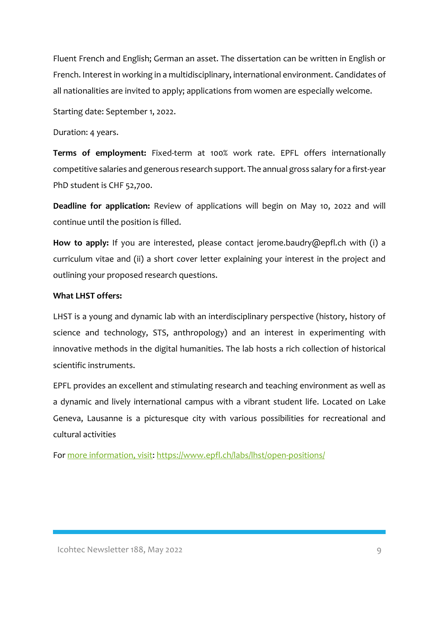Fluent French and English; German an asset. The dissertation can be written in English or French. Interest in working in a multidisciplinary, international environment. Candidates of all nationalities are invited to apply; applications from women are especially welcome.

Starting date: September 1, 2022.

Duration: 4 years.

**Terms of employment:** Fixed-term at 100% work rate. EPFL offers internationally competitive salaries and generous research support. The annual gross salary for a first-year PhD student is CHF 52,700.

**Deadline for application:** Review of applications will begin on May 10, 2022 and will continue until the position is filled.

**How to apply:** If you are interested, please contact jerome.baudry@epfl.ch with (i) a curriculum vitae and (ii) a short cover letter explaining your interest in the project and outlining your proposed research questions.

#### **What LHST offers:**

LHST is a young and dynamic lab with an interdisciplinary perspective (history, history of science and technology, STS, anthropology) and an interest in experimenting with innovative methods in the digital humanities. The lab hosts a rich collection of historical scientific instruments.

EPFL provides an excellent and stimulating research and teaching environment as well as a dynamic and lively international campus with a vibrant student life. Located on Lake Geneva, Lausanne is a picturesque city with various possibilities for recreational and cultural activities

For [more information, visit: https://www.epfl.ch/labs/lhst/open-positions/](https://www.epfl.ch/labs/lhst/open-positions/)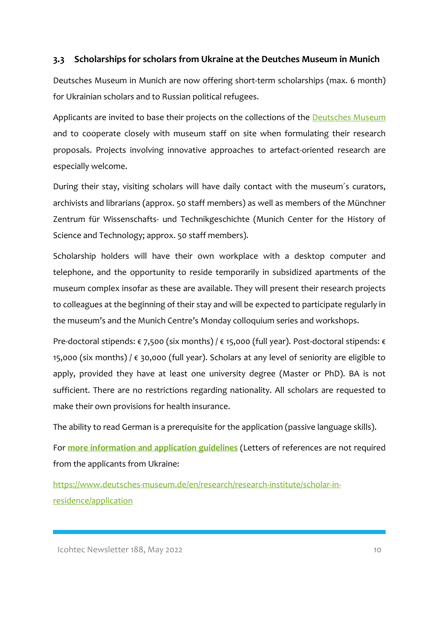### <span id="page-9-0"></span>**3.3 Scholarships for scholars from Ukraine at the Deutches Museum in Munich**

Deutsches Museum in Munich are now offering short-term scholarships (max. 6 month) for Ukrainian scholars and to Russian political refugees.

Applicants are invited to base their projects on the collections of the **Deutsches Museum** and to cooperate closely with museum staff on site when formulating their research proposals. Projects involving innovative approaches to artefact-oriented research are especially welcome.

During their stay, visiting scholars will have daily contact with the museum´s curators, archivists and librarians (approx. 50 staff members) as well as members of the Münchner Zentrum für Wissenschafts- und Technikgeschichte (Munich Center for the History of Science and Technology; approx. 50 staff members).

Scholarship holders will have their own workplace with a desktop computer and telephone, and the opportunity to reside temporarily in subsidized apartments of the museum complex insofar as these are available. They will present their research projects to colleagues at the beginning of their stay and will be expected to participate regularly in the museum's and the Munich Centre's Monday colloquium series and workshops.

Pre-doctoral stipends: € 7,500 (six months) / € 15,000 (full year). Post-doctoral stipends: € 15,000 (six months) / € 30,000 (full year). Scholars at any level of seniority are eligible to apply, provided they have at least one university degree (Master or PhD). BA is not sufficient. There are no restrictions regarding nationality. All scholars are requested to make their own provisions for health insurance.

The ability to read German is a prerequisite for the application (passive language skills).

For **[more information and application guidelines](https://www.deutsches-museum.de/en/research/research-institute/scholar-in-residence/application)** (Letters of references are not required from the applicants from Ukraine:

[https://www.deutsches-museum.de/en/research/research-institute/scholar-in](https://www.deutsches-museum.de/en/research/research-institute/scholar-in-residence/application)[residence/application](https://www.deutsches-museum.de/en/research/research-institute/scholar-in-residence/application)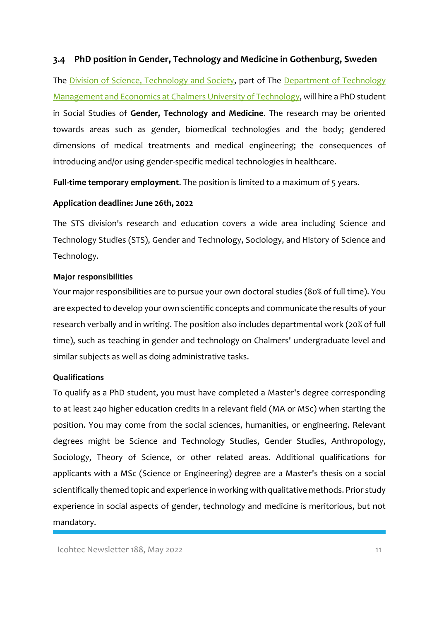#### <span id="page-10-0"></span>**3.4 PhD position in Gender, Technology and Medicine in Gothenburg, Sweden**

The [Division of Science, Technology and Society,](https://www.chalmers.se/en/departments/tme/organisation/science-technology-and-society/Pages/default.aspx) part of The [Department of Technology](https://www.chalmers.se/en/departments/tme/Pages/default.aspx)  [Management and Economics at Chalmers University of Technology,](https://www.chalmers.se/en/departments/tme/Pages/default.aspx) will hire a PhD student in Social Studies of **Gender, Technology and Medicine**. The research may be oriented towards areas such as gender, biomedical technologies and the body; gendered dimensions of medical treatments and medical engineering; the consequences of introducing and/or using gender-specific medical technologies in healthcare.

**Full-time temporary employment**. The position is limited to a maximum of 5 years.

#### **Application deadline: June 26th, 2022**

The STS division's research and education covers a wide area including Science and Technology Studies (STS), Gender and Technology, Sociology, and History of Science and Technology.

#### **Major responsibilities**

Your major responsibilities are to pursue your own doctoral studies (80% of full time). You are expected to develop your own scientific concepts and communicate the results of your research verbally and in writing. The position also includes departmental work (20% of full time), such as teaching in gender and technology on Chalmers' undergraduate level and similar subjects as well as doing administrative tasks.

#### **Qualifications**

To qualify as a PhD student, you must have completed a Master's degree corresponding to at least 240 higher education credits in a relevant field (MA or MSc) when starting the position. You may come from the social sciences, humanities, or engineering. Relevant degrees might be Science and Technology Studies, Gender Studies, Anthropology, Sociology, Theory of Science, or other related areas. Additional qualifications for applicants with a MSc (Science or Engineering) degree are a Master's thesis on a social scientifically themed topic and experience in working with qualitative methods. Prior study experience in social aspects of gender, technology and medicine is meritorious, but not mandatory.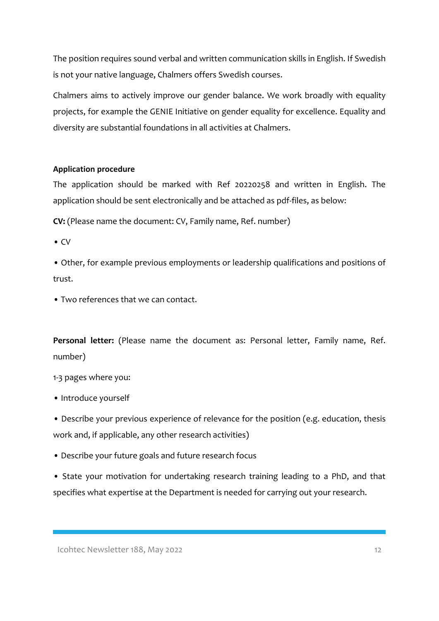The position requires sound verbal and written communication skills in English. If Swedish is not your native language, Chalmers offers Swedish courses.

Chalmers aims to actively improve our gender balance. We work broadly with equality projects, for example the GENIE Initiative on gender equality for excellence. Equality and diversity are substantial foundations in all activities at Chalmers.

#### **Application procedure**

The application should be marked with Ref 20220258 and written in English. The application should be sent electronically and be attached as pdf-files, as below:

**CV:** (Please name the document: CV, Family name, Ref. number)

• CV

• Other, for example previous employments or leadership qualifications and positions of trust.

• Two references that we can contact.

**Personal letter:** (Please name the document as: Personal letter, Family name, Ref. number)

1-3 pages where you:

• Introduce yourself

• Describe your previous experience of relevance for the position (e.g. education, thesis work and, if applicable, any other research activities)

• Describe your future goals and future research focus

• State your motivation for undertaking research training leading to a PhD, and that specifies what expertise at the Department is needed for carrying out your research.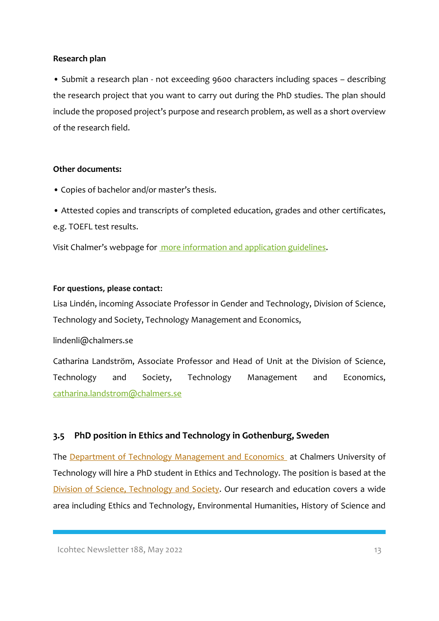#### **Research plan**

• Submit a research plan - not exceeding 9600 characters including spaces – describing the research project that you want to carry out during the PhD studies. The plan should include the proposed project's purpose and research problem, as well as a short overview of the research field.

#### **Other documents:**

- Copies of bachelor and/or master's thesis.
- Attested copies and transcripts of completed education, grades and other certificates, e.g. TOEFL test results.

Visit Chalmer's webpage for [more information and application guidelines.](https://www.chalmers.se/en/about-chalmers/Working-at-Chalmers/Vacancies/Pages/default.aspx?rmpage=job&rmjob=p10560)

#### **For questions, please contact:**

Lisa Lindén, incoming Associate Professor in Gender and Technology, Division of Science, Technology and Society, Technology Management and Economics,

lindenli@chalmers.se

Catharina Landström, Associate Professor and Head of Unit at the Division of Science, Technology and Society, Technology Management and Economics, [catharina.landstrom@chalmers.se](mailto:catharina.landstrom@chalmers.se)

### <span id="page-12-0"></span>**3.5 PhD position in Ethics and Technology in Gothenburg, Sweden**

The **Department of Technology Management and Economics** at Chalmers University of Technology will hire a PhD student in Ethics and Technology. The position is based at the [Division of Science, Technology and Society.](https://www.chalmers.se/en/departments/tme/organisation/science-technology-and-society/Pages/default.aspx) Our research and education covers a wide area including Ethics and Technology, Environmental Humanities, History of Science and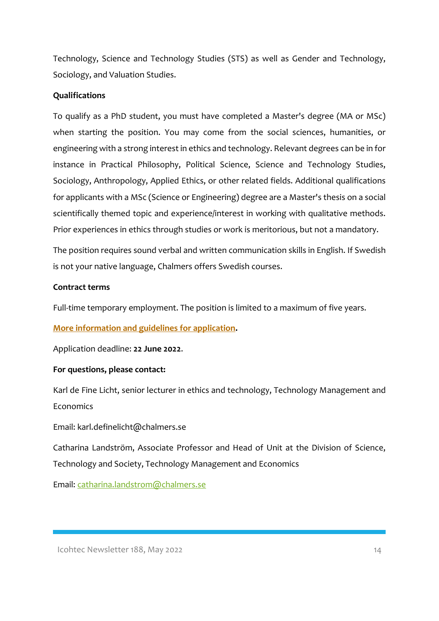Technology, Science and Technology Studies (STS) as well as Gender and Technology, Sociology, and Valuation Studies.

### **Qualifications**

To qualify as a PhD student, you must have completed a Master's degree (MA or MSc) when starting the position. You may come from the social sciences, humanities, or engineering with a strong interest in ethics and technology. Relevant degrees can be in for instance in Practical Philosophy, Political Science, Science and Technology Studies, Sociology, Anthropology, Applied Ethics, or other related fields. Additional qualifications for applicants with a MSc (Science or Engineering) degree are a Master's thesis on a social scientifically themed topic and experience/interest in working with qualitative methods. Prior experiences in ethics through studies or work is meritorious, but not a mandatory.

The position requires sound verbal and written communication skills in English. If Swedish is not your native language, Chalmers offers Swedish courses.

#### **Contract terms**

Full-time temporary employment. The position is limited to a maximum of five years.

### **[More information and guidelines for application.](https://www.chalmers.se/sv/om-chalmers/Arbeta-pa-Chalmers/lediga-tjanster/Sidor/default.aspx?rmpage=job&rmjob=p10475)**

Application deadline: **22 June 2022**.

#### **For questions, please contact:**

Karl de Fine Licht, senior lecturer in ethics and technology, Technology Management and **Economics** 

Email: karl.definelicht@chalmers.se

Catharina Landström, Associate Professor and Head of Unit at the Division of Science, Technology and Society, Technology Management and Economics

Email: [catharina.landstrom@chalmers.se](mailto:catharina.landstrom@chalmers.se)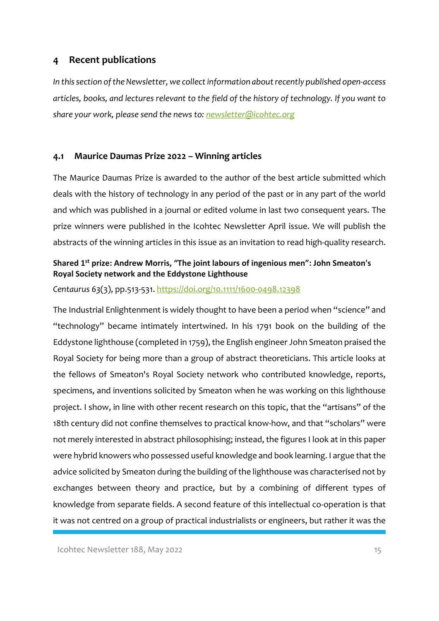### <span id="page-14-0"></span>**4 Recent publications**

*In this section of the Newsletter, we collect information about recently published open-access articles, books, and lectures relevant to the field of the history of technology. If you want to share your work, please send the news to: [newsletter@icohtec.org](mailto:newsletter@icohtec.org)*

#### <span id="page-14-1"></span>**4.1 Maurice Daumas Prize 2022 – Winning articles**

The Maurice Daumas Prize is awarded to the author of the best article submitted which deals with the history of technology in any period of the past or in any part of the world and which was published in a journal or edited volume in last two consequent years. The prize winners were published in the Icohtec Newsletter April issue. We will publish the abstracts of the winning articles in this issue as an invitation to read high-quality research.

### **Shared 1st prize: Andrew Morris, "The joint labours of ingenious men": John Smeaton's Royal Society network and the Eddystone Lighthouse**

*Centaurus 63*(3), pp.513-531.<https://doi.org/10.1111/1600-0498.12398>

The Industrial Enlightenment is widely thought to have been a period when "science" and "technology" became intimately intertwined. In his 1791 book on the building of the Eddystone lighthouse (completed in 1759), the English engineer John Smeaton praised the Royal Society for being more than a group of abstract theoreticians. This article looks at the fellows of Smeaton's Royal Society network who contributed knowledge, reports, specimens, and inventions solicited by Smeaton when he was working on this lighthouse project. I show, in line with other recent research on this topic, that the "artisans" of the 18th century did not confine themselves to practical know-how, and that "scholars" were not merely interested in abstract philosophising; instead, the figures I look at in this paper were hybrid knowers who possessed useful knowledge and book learning. I argue that the advice solicited by Smeaton during the building of the lighthouse was characterised not by exchanges between theory and practice, but by a combining of different types of knowledge from separate fields. A second feature of this intellectual co-operation is that it was not centred on a group of practical industrialists or engineers, but rather it was the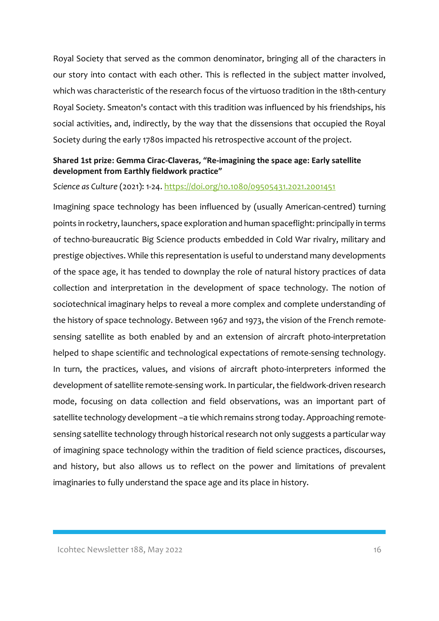Royal Society that served as the common denominator, bringing all of the characters in our story into contact with each other. This is reflected in the subject matter involved, which was characteristic of the research focus of the virtuoso tradition in the 18th-century Royal Society. Smeaton's contact with this tradition was influenced by his friendships, his social activities, and, indirectly, by the way that the dissensions that occupied the Royal Society during the early 1780s impacted his retrospective account of the project.

### **Shared 1st prize: Gemma Cirac-Claveras, "Re-imagining the space age: Early satellite development from Earthly fieldwork practice"**

#### *Science as Culture* (2021): 1-24. <https://doi.org/10.1080/09505431.2021.2001451>

Imagining space technology has been influenced by (usually American-centred) turning points in rocketry, launchers, space exploration and human spaceflight: principally in terms of techno-bureaucratic Big Science products embedded in Cold War rivalry, military and prestige objectives. While this representation is useful to understand many developments of the space age, it has tended to downplay the role of natural history practices of data collection and interpretation in the development of space technology. The notion of sociotechnical imaginary helps to reveal a more complex and complete understanding of the history of space technology. Between 1967 and 1973, the vision of the French remotesensing satellite as both enabled by and an extension of aircraft photo-interpretation helped to shape scientific and technological expectations of remote-sensing technology. In turn, the practices, values, and visions of aircraft photo-interpreters informed the development of satellite remote-sensing work. In particular, the fieldwork-driven research mode, focusing on data collection and field observations, was an important part of satellite technology development –a tie which remains strong today. Approaching remotesensing satellite technology through historical research not only suggests a particular way of imagining space technology within the tradition of field science practices, discourses, and history, but also allows us to reflect on the power and limitations of prevalent imaginaries to fully understand the space age and its place in history.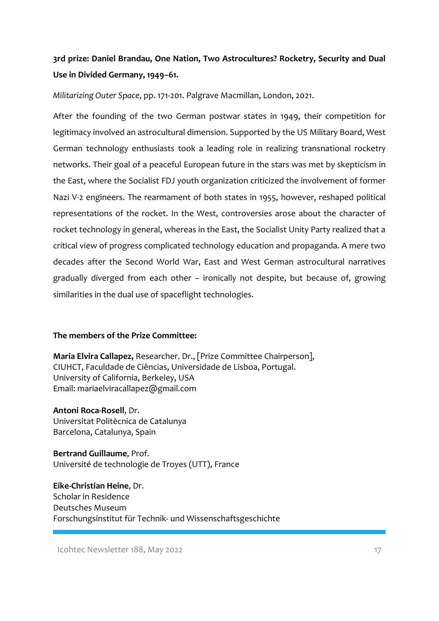# **3rd prize: Daniel Brandau, One Nation, Two Astrocultures? Rocketry, Security and Dual Use in Divided Germany, 1949–61.**

*Militarizing Outer Space*, pp. 171-201. Palgrave Macmillan, London, 2021.

After the founding of the two German postwar states in 1949, their competition for legitimacy involved an astrocultural dimension. Supported by the US Military Board, West German technology enthusiasts took a leading role in realizing transnational rocketry networks. Their goal of a peaceful European future in the stars was met by skepticism in the East, where the Socialist FDJ youth organization criticized the involvement of former Nazi V-2 engineers. The rearmament of both states in 1955, however, reshaped political representations of the rocket. In the West, controversies arose about the character of rocket technology in general, whereas in the East, the Socialist Unity Party realized that a critical view of progress complicated technology education and propaganda. A mere two decades after the Second World War, East and West German astrocultural narratives gradually diverged from each other – ironically not despite, but because of, growing similarities in the dual use of spaceflight technologies.

#### **The members of the Prize Committee:**

**Maria Elvira Callapez,** Researcher. Dr., [Prize Committee Chairperson], CIUHCT, Faculdade de Ciências, Universidade de Lisboa, Portugal. University of California, Berkeley, USA Email: mariaelviracallapez@gmail.com

**Antoni Roca-Rosell**, Dr. Universitat Politècnica de Catalunya Barcelona, Catalunya, Spain

**Bertrand Guillaume**, Prof. Université de technologie de Troyes (UTT), France

**Eike-Christian Heine**, Dr. Scholar in Residence Deutsches Museum Forschungsinstitut für Technik- und Wissenschaftsgeschichte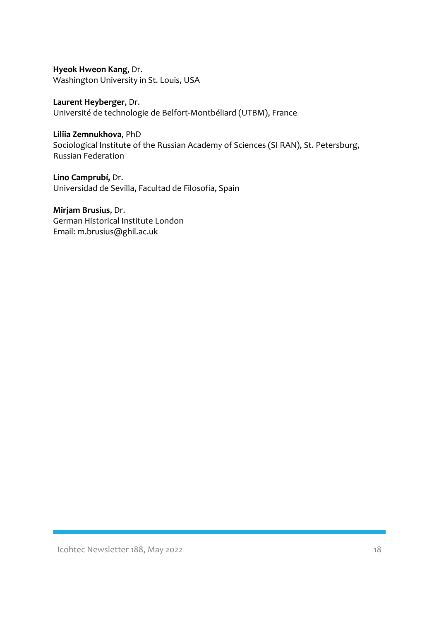**Hyeok Hweon Kang**, Dr. Washington University in St. Louis, USA

**Laurent Heyberger**, Dr. Université de technologie de Belfort-Montbéliard (UTBM), France

**Liliia Zemnukhova**, PhD Sociological Institute of the Russian Academy of Sciences (SI RAN), St. Petersburg, Russian Federation

**Lino Camprubí,** Dr. Universidad de Sevilla, Facultad de Filosofía, Spain

**Mirjam Brusius**, Dr. German Historical Institute London Email: m.brusius@ghil.ac.uk